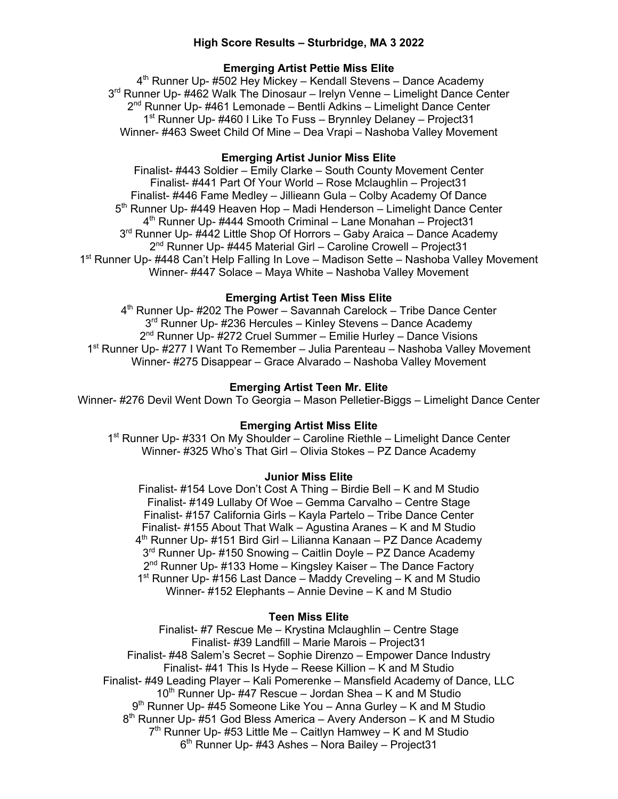# **High Score Results – Sturbridge, MA 3 2022**

## **Emerging Artist Pettie Miss Elite**

 $4<sup>th</sup>$  Runner Up- #502 Hey Mickey – Kendall Stevens – Dance Academy 3<sup>rd</sup> Runner Up- #462 Walk The Dinosaur – Irelyn Venne – Limelight Dance Center  $2<sup>nd</sup>$  Runner Up- #461 Lemonade – Bentli Adkins – Limelight Dance Center 1<sup>st</sup> Runner Up- #460 I Like To Fuss – Brynnley Delaney – Project31 Winner- #463 Sweet Child Of Mine – Dea Vrapi – Nashoba Valley Movement

### **Emerging Artist Junior Miss Elite**

Finalist- #443 Soldier – Emily Clarke – South County Movement Center Finalist- #441 Part Of Your World – Rose Mclaughlin – Project31 Finalist- #446 Fame Medley – Jillieann Gula – Colby Academy Of Dance 5<sup>th</sup> Runner Up- #449 Heaven Hop – Madi Henderson – Limelight Dance Center 4th Runner Up- #444 Smooth Criminal – Lane Monahan – Project31 3<sup>rd</sup> Runner Up- #442 Little Shop Of Horrors – Gaby Araica – Dance Academy 2<sup>nd</sup> Runner Up- #445 Material Girl – Caroline Crowell – Project31 1<sup>st</sup> Runner Up- #448 Can't Help Falling In Love – Madison Sette – Nashoba Valley Movement Winner- #447 Solace – Maya White – Nashoba Valley Movement

### **Emerging Artist Teen Miss Elite**

4<sup>th</sup> Runner Up- #202 The Power – Savannah Carelock – Tribe Dance Center 3<sup>rd</sup> Runner Up- #236 Hercules – Kinley Stevens – Dance Academy 2<sup>nd</sup> Runner Up- #272 Cruel Summer – Emilie Hurley – Dance Visions 1st Runner Up- #277 I Want To Remember – Julia Parenteau – Nashoba Valley Movement Winner- #275 Disappear – Grace Alvarado – Nashoba Valley Movement

### **Emerging Artist Teen Mr. Elite**

Winner- #276 Devil Went Down To Georgia – Mason Pelletier-Biggs – Limelight Dance Center

#### **Emerging Artist Miss Elite**

1<sup>st</sup> Runner Up- #331 On My Shoulder – Caroline Riethle – Limelight Dance Center Winner- #325 Who's That Girl – Olivia Stokes – PZ Dance Academy

## **Junior Miss Elite**

Finalist- #154 Love Don't Cost A Thing – Birdie Bell – K and M Studio Finalist- #149 Lullaby Of Woe – Gemma Carvalho – Centre Stage Finalist- #157 California Girls – Kayla Partelo – Tribe Dance Center Finalist- #155 About That Walk – Agustina Aranes – K and M Studio 4th Runner Up- #151 Bird Girl – Lilianna Kanaan – PZ Dance Academy 3<sup>rd</sup> Runner Up- #150 Snowing – Caitlin Doyle – PZ Dance Academy 2<sup>nd</sup> Runner Up- #133 Home – Kingsley Kaiser – The Dance Factory  $1<sup>st</sup>$  Runner Up- #156 Last Dance – Maddy Creveling – K and M Studio Winner- #152 Elephants – Annie Devine – K and M Studio

# **Teen Miss Elite**

Finalist- #7 Rescue Me – Krystina Mclaughlin – Centre Stage Finalist- #39 Landfill – Marie Marois – Project31 Finalist- #48 Salem's Secret – Sophie Direnzo – Empower Dance Industry Finalist- #41 This Is Hyde – Reese Killion – K and M Studio Finalist- #49 Leading Player – Kali Pomerenke – Mansfield Academy of Dance, LLC  $10^{th}$  Runner Up- #47 Rescue – Jordan Shea – K and M Studio  $9<sup>th</sup>$  Runner Up- #45 Someone Like You – Anna Gurley – K and M Studio  $8<sup>th</sup>$  Runner Up- #51 God Bless America – Avery Anderson – K and M Studio  $7<sup>th</sup>$  Runner Up- #53 Little Me – Caitlyn Hamwey – K and M Studio  $6<sup>th</sup>$  Runner Up- #43 Ashes – Nora Bailey – Project 31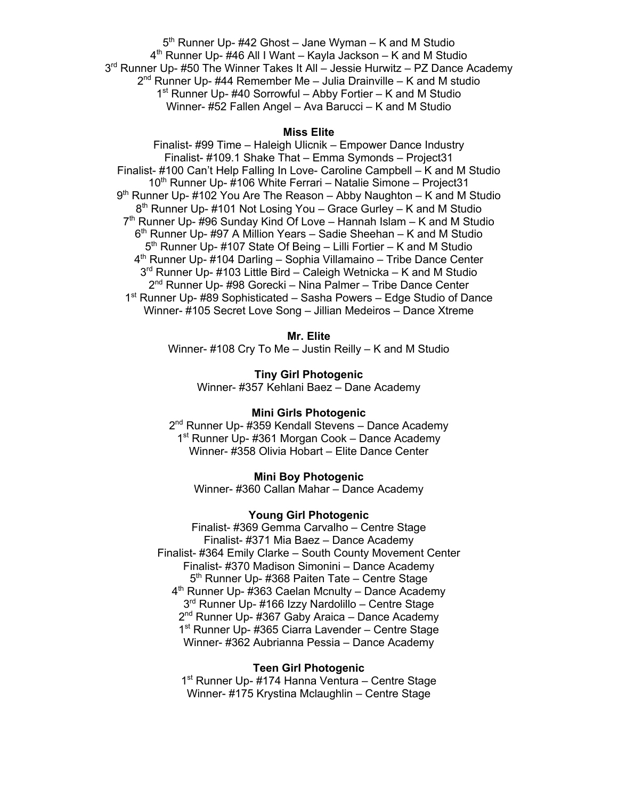$5<sup>th</sup>$  Runner Up- #42 Ghost – Jane Wyman – K and M Studio  $4<sup>th</sup>$  Runner Up- #46 All I Want – Kayla Jackson – K and M Studio 3<sup>rd</sup> Runner Up- #50 The Winner Takes It All – Jessie Hurwitz – PZ Dance Academy  $2<sup>nd</sup>$  Runner Up- #44 Remember Me – Julia Drainville – K and M studio  $1<sup>st</sup>$  Runner Up- #40 Sorrowful – Abby Fortier – K and M Studio Winner- #52 Fallen Angel – Ava Barucci – K and M Studio

#### **Miss Elite**

Finalist- #99 Time – Haleigh Ulicnik – Empower Dance Industry Finalist- #109.1 Shake That – Emma Symonds – Project31 Finalist- #100 Can't Help Falling In Love- Caroline Campbell – K and M Studio 10<sup>th</sup> Runner Up- #106 White Ferrari – Natalie Simone – Project31  $9<sup>th</sup>$  Runner Up- #102 You Are The Reason – Abby Naughton – K and M Studio  $8<sup>th</sup>$  Runner Up- #101 Not Losing You – Grace Gurley – K and M Studio  $7<sup>th</sup>$  Runner Up- #96 Sunday Kind Of Love – Hannah Islam – K and M Studio  $6<sup>th</sup>$  Runner Up- #97 A Million Years – Sadie Sheehan – K and M Studio  $5<sup>th</sup>$  Runner Up- #107 State Of Being – Lilli Fortier – K and M Studio  $4<sup>th</sup>$  Runner Up- #104 Darling – Sophia Villamaino – Tribe Dance Center  $3<sup>rd</sup>$  Runner Up- #103 Little Bird – Caleigh Wetnicka – K and M Studio 2<sup>nd</sup> Runner Up- #98 Gorecki – Nina Palmer – Tribe Dance Center 1<sup>st</sup> Runner Up- #89 Sophisticated – Sasha Powers – Edge Studio of Dance Winner- #105 Secret Love Song – Jillian Medeiros – Dance Xtreme

#### **Mr. Elite**

Winner- #108 Cry To Me – Justin Reilly – K and M Studio

**Tiny Girl Photogenic** Winner- #357 Kehlani Baez – Dane Academy

# **Mini Girls Photogenic**

2<sup>nd</sup> Runner Up- #359 Kendall Stevens - Dance Academy 1<sup>st</sup> Runner Up- #361 Morgan Cook – Dance Academy Winner- #358 Olivia Hobart – Elite Dance Center

## **Mini Boy Photogenic**

Winner- #360 Callan Mahar – Dance Academy

### **Young Girl Photogenic**

Finalist- #369 Gemma Carvalho – Centre Stage Finalist- #371 Mia Baez – Dance Academy Finalist- #364 Emily Clarke – South County Movement Center Finalist- #370 Madison Simonini – Dance Academy 5<sup>th</sup> Runner Up- #368 Paiten Tate – Centre Stage 4<sup>th</sup> Runner Up- #363 Caelan Mcnulty – Dance Academy 3<sup>rd</sup> Runner Up- #166 Izzy Nardolillo – Centre Stage 2<sup>nd</sup> Runner Up- #367 Gaby Araica – Dance Academy 1<sup>st</sup> Runner Up- #365 Ciarra Lavender – Centre Stage Winner- #362 Aubrianna Pessia – Dance Academy

### **Teen Girl Photogenic**

1<sup>st</sup> Runner Up- #174 Hanna Ventura – Centre Stage Winner- #175 Krystina Mclaughlin – Centre Stage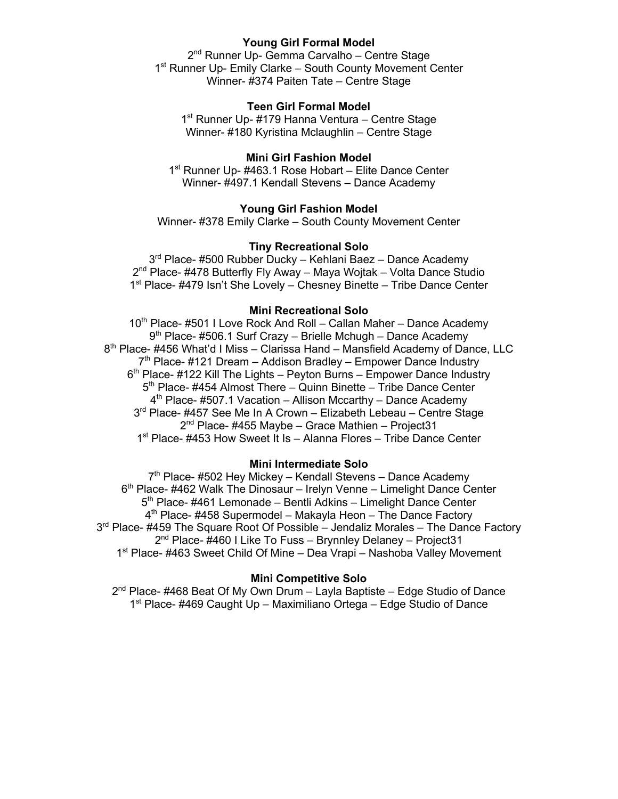## **Young Girl Formal Model**

2<sup>nd</sup> Runner Up- Gemma Carvalho - Centre Stage 1<sup>st</sup> Runner Up- Emily Clarke – South County Movement Center Winner- #374 Paiten Tate – Centre Stage

## **Teen Girl Formal Model**

1<sup>st</sup> Runner Up- #179 Hanna Ventura – Centre Stage Winner- #180 Kyristina Mclaughlin – Centre Stage

## **Mini Girl Fashion Model**

1<sup>st</sup> Runner Up- #463.1 Rose Hobart – Elite Dance Center Winner- #497.1 Kendall Stevens – Dance Academy

# **Young Girl Fashion Model**

Winner- #378 Emily Clarke – South County Movement Center

## **Tiny Recreational Solo**

3<sup>rd</sup> Place- #500 Rubber Ducky – Kehlani Baez – Dance Academy 2<sup>nd</sup> Place- #478 Butterfly Fly Away – Maya Wojtak – Volta Dance Studio 1<sup>st</sup> Place- #479 Isn't She Lovely – Chesney Binette – Tribe Dance Center

### **Mini Recreational Solo**

10<sup>th</sup> Place- #501 I Love Rock And Roll – Callan Maher – Dance Academy  $9<sup>th</sup>$  Place- #506.1 Surf Crazy – Brielle Mchugh – Dance Academy 8<sup>th</sup> Place- #456 What'd I Miss – Clarissa Hand – Mansfield Academy of Dance, LLC  $7<sup>th</sup>$  Place- #121 Dream – Addison Bradley – Empower Dance Industry  $6<sup>th</sup>$  Place- #122 Kill The Lights – Peyton Burns – Empower Dance Industry 5<sup>th</sup> Place- #454 Almost There – Quinn Binette – Tribe Dance Center  $4<sup>th</sup>$  Place- #507.1 Vacation – Allison Mccarthy – Dance Academy 3<sup>rd</sup> Place- #457 See Me In A Crown – Elizabeth Lebeau – Centre Stage  $2<sup>nd</sup>$  Place- #455 Maybe – Grace Mathien – Project 31 1<sup>st</sup> Place- #453 How Sweet It Is – Alanna Flores – Tribe Dance Center

## **Mini Intermediate Solo**

 $7<sup>th</sup>$  Place- #502 Hey Mickey – Kendall Stevens – Dance Academy 6<sup>th</sup> Place- #462 Walk The Dinosaur – Irelyn Venne – Limelight Dance Center 5<sup>th</sup> Place- #461 Lemonade – Bentli Adkins – Limelight Dance Center  $4<sup>th</sup>$  Place- #458 Supermodel – Makayla Heon – The Dance Factory 3<sup>rd</sup> Place- #459 The Square Root Of Possible – Jendaliz Morales – The Dance Factory 2<sup>nd</sup> Place- #460 I Like To Fuss – Brynnley Delaney – Project 31 1<sup>st</sup> Place- #463 Sweet Child Of Mine – Dea Vrapi – Nashoba Valley Movement

## **Mini Competitive Solo**

 $2^{nd}$  Place- #468 Beat Of My Own Drum – Layla Baptiste – Edge Studio of Dance 1<sup>st</sup> Place- #469 Caught Up – Maximiliano Ortega – Edge Studio of Dance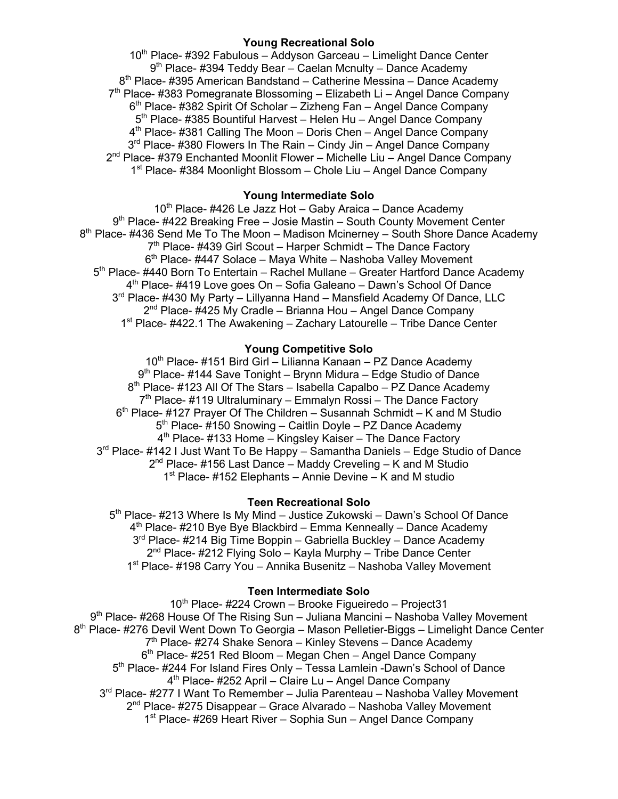## **Young Recreational Solo**

10<sup>th</sup> Place- #392 Fabulous – Addyson Garceau – Limelight Dance Center 9<sup>th</sup> Place- #394 Teddy Bear – Caelan Mcnulty – Dance Academy  $8<sup>th</sup>$  Place- #395 American Bandstand – Catherine Messina – Dance Academy  $7<sup>th</sup>$  Place- #383 Pomegranate Blossoming – Elizabeth Li – Angel Dance Company 6<sup>th</sup> Place- #382 Spirit Of Scholar – Zizheng Fan – Angel Dance Company 5<sup>th</sup> Place- #385 Bountiful Harvest – Helen Hu – Angel Dance Company  $4<sup>th</sup>$  Place- #381 Calling The Moon – Doris Chen – Angel Dance Company 3<sup>rd</sup> Place- #380 Flowers In The Rain – Cindy Jin – Angel Dance Company 2<sup>nd</sup> Place- #379 Enchanted Moonlit Flower – Michelle Liu – Angel Dance Company 1st Place- #384 Moonlight Blossom – Chole Liu – Angel Dance Company

# **Young Intermediate Solo**

 $10<sup>th</sup>$  Place- #426 Le Jazz Hot – Gaby Araica – Dance Academy  $9<sup>th</sup>$  Place- #422 Breaking Free – Josie Mastin – South County Movement Center 8<sup>th</sup> Place- #436 Send Me To The Moon – Madison Mcinerney – South Shore Dance Academy  $7<sup>th</sup>$  Place- #439 Girl Scout – Harper Schmidt – The Dance Factory  $6<sup>th</sup>$  Place- #447 Solace – Maya White – Nashoba Valley Movement 5<sup>th</sup> Place- #440 Born To Entertain – Rachel Mullane – Greater Hartford Dance Academy  $4<sup>th</sup>$  Place- #419 Love goes On – Sofia Galeano – Dawn's School Of Dance 3rd Place- #430 My Party – Lillyanna Hand – Mansfield Academy Of Dance, LLC  $2<sup>nd</sup>$  Place- #425 My Cradle – Brianna Hou – Angel Dance Company 1<sup>st</sup> Place- #422.1 The Awakening – Zachary Latourelle – Tribe Dance Center

# **Young Competitive Solo**

10<sup>th</sup> Place- #151 Bird Girl – Lilianna Kanaan – PZ Dance Academy  $9<sup>th</sup>$  Place- #144 Save Tonight – Brynn Midura – Edge Studio of Dance  $8<sup>th</sup>$  Place- #123 All Of The Stars – Isabella Capalbo – PZ Dance Academy  $7<sup>th</sup>$  Place- #119 Ultraluminary – Emmalyn Rossi – The Dance Factory  $6<sup>th</sup>$  Place- #127 Prayer Of The Children – Susannah Schmidt – K and M Studio 5<sup>th</sup> Place- #150 Snowing – Caitlin Doyle – PZ Dance Academy  $4<sup>th</sup>$  Place- #133 Home – Kingsley Kaiser – The Dance Factory 3<sup>rd</sup> Place- #142 I Just Want To Be Happy – Samantha Daniels – Edge Studio of Dance  $2^{nd}$  Place- #156 Last Dance – Maddy Creveling – K and M Studio 1<sup>st</sup> Place- #152 Elephants – Annie Devine – K and M studio

## **Teen Recreational Solo**

 $5<sup>th</sup>$  Place- #213 Where Is My Mind – Justice Zukowski – Dawn's School Of Dance 4<sup>th</sup> Place- #210 Bye Bye Blackbird – Emma Kenneally – Dance Academy 3<sup>rd</sup> Place- #214 Big Time Boppin – Gabriella Buckley – Dance Academy  $2^{nd}$  Place- #212 Flying Solo – Kayla Murphy – Tribe Dance Center 1st Place- #198 Carry You – Annika Busenitz – Nashoba Valley Movement

# **Teen Intermediate Solo**

10<sup>th</sup> Place- #224 Crown – Brooke Figueiredo – Project31  $9<sup>th</sup>$  Place- #268 House Of The Rising Sun – Juliana Mancini – Nashoba Valley Movement 8<sup>th</sup> Place- #276 Devil Went Down To Georgia – Mason Pelletier-Biggs – Limelight Dance Center  $7<sup>th</sup>$  Place- #274 Shake Senora – Kinley Stevens – Dance Academy 6<sup>th</sup> Place- #251 Red Bloom - Megan Chen - Angel Dance Company 5<sup>th</sup> Place- #244 For Island Fires Only – Tessa Lamlein -Dawn's School of Dance 4<sup>th</sup> Place- #252 April – Claire Lu – Angel Dance Company 3<sup>rd</sup> Place- #277 I Want To Remember – Julia Parenteau – Nashoba Valley Movement 2<sup>nd</sup> Place- #275 Disappear – Grace Alvarado – Nashoba Valley Movement 1<sup>st</sup> Place- #269 Heart River – Sophia Sun – Angel Dance Company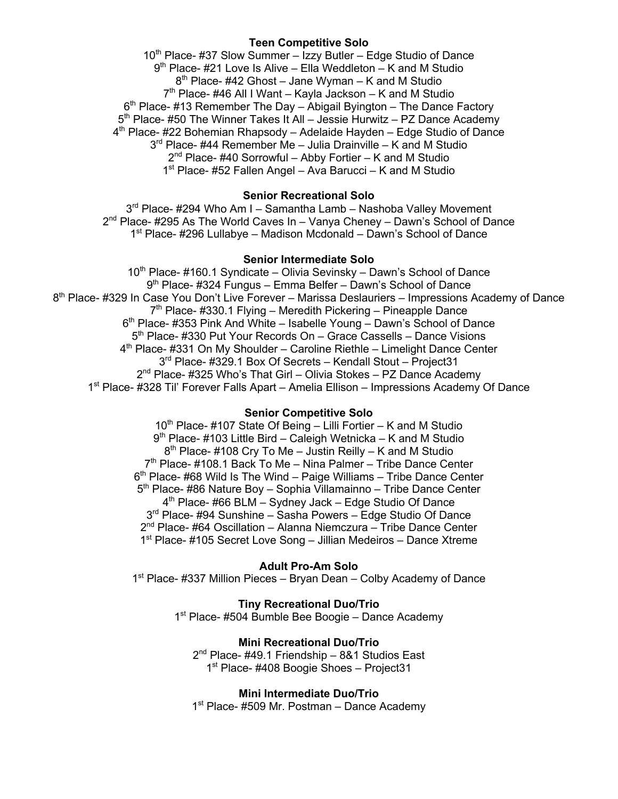## **Teen Competitive Solo**

 $10<sup>th</sup>$  Place- #37 Slow Summer – Izzy Butler – Edge Studio of Dance  $9<sup>th</sup>$  Place- #21 Love Is Alive – Ella Weddleton – K and M Studio  $8<sup>th</sup>$  Place- #42 Ghost – Jane Wyman – K and M Studio  $7<sup>th</sup>$  Place- #46 All I Want – Kayla Jackson – K and M Studio  $6<sup>th</sup>$  Place- #13 Remember The Day – Abigail Byington – The Dance Factory 5th Place- #50 The Winner Takes It All – Jessie Hurwitz – PZ Dance Academy 4<sup>th</sup> Place- #22 Bohemian Rhapsody - Adelaide Hayden - Edge Studio of Dance 3<sup>rd</sup> Place- #44 Remember Me – Julia Drainville – K and M Studio  $2<sup>nd</sup>$  Place- #40 Sorrowful – Abby Fortier – K and M Studio 1<sup>st</sup> Place- #52 Fallen Angel – Ava Barucci – K and M Studio

# **Senior Recreational Solo**

3<sup>rd</sup> Place- #294 Who Am I – Samantha Lamb – Nashoba Valley Movement  $2<sup>nd</sup>$  Place- #295 As The World Caves In – Vanya Cheney – Dawn's School of Dance 1<sup>st</sup> Place- #296 Lullabye – Madison Mcdonald – Dawn's School of Dance

# **Senior Intermediate Solo**

10<sup>th</sup> Place- #160.1 Syndicate – Olivia Sevinsky – Dawn's School of Dance  $9<sup>th</sup>$  Place- #324 Fungus – Emma Belfer – Dawn's School of Dance 8th Place- #329 In Case You Don't Live Forever – Marissa Deslauriers – Impressions Academy of Dance  $7<sup>th</sup>$  Place- #330.1 Flying – Meredith Pickering – Pineapple Dance  $6<sup>th</sup>$  Place- #353 Pink And White – Isabelle Young – Dawn's School of Dance 5<sup>th</sup> Place- #330 Put Your Records On – Grace Cassells – Dance Visions 4<sup>th</sup> Place- #331 On My Shoulder – Caroline Riethle – Limelight Dance Center 3<sup>rd</sup> Place- #329.1 Box Of Secrets - Kendall Stout - Project31  $2^{nd}$  Place- #325 Who's That Girl – Olivia Stokes – PZ Dance Academy 1st Place- #328 Til' Forever Falls Apart – Amelia Ellison – Impressions Academy Of Dance

# **Senior Competitive Solo**

 $10^{th}$  Place- #107 State Of Being – Lilli Fortier – K and M Studio  $9<sup>th</sup>$  Place- #103 Little Bird – Caleigh Wetnicka – K and M Studio  $8<sup>th</sup>$  Place- #108 Cry To Me – Justin Reilly – K and M Studio 7<sup>th</sup> Place- #108.1 Back To Me - Nina Palmer - Tribe Dance Center  $6<sup>th</sup>$  Place- #68 Wild Is The Wind – Paige Williams – Tribe Dance Center 5<sup>th</sup> Place- #86 Nature Boy – Sophia Villamainno – Tribe Dance Center  $4<sup>th</sup>$  Place- #66 BLM – Sydney Jack – Edge Studio Of Dance 3<sup>rd</sup> Place- #94 Sunshine – Sasha Powers – Edge Studio Of Dance 2<sup>nd</sup> Place- #64 Oscillation – Alanna Niemczura – Tribe Dance Center 1st Place- #105 Secret Love Song – Jillian Medeiros – Dance Xtreme

# **Adult Pro-Am Solo**

1<sup>st</sup> Place- #337 Million Pieces – Bryan Dean – Colby Academy of Dance

**Tiny Recreational Duo/Trio** 1<sup>st</sup> Place- #504 Bumble Bee Boogie – Dance Academy

**Mini Recreational Duo/Trio** 2<sup>nd</sup> Place- #49.1 Friendship – 8&1 Studios East 1<sup>st</sup> Place- #408 Boogie Shoes – Project 31

**Mini Intermediate Duo/Trio** 1<sup>st</sup> Place- #509 Mr. Postman – Dance Academy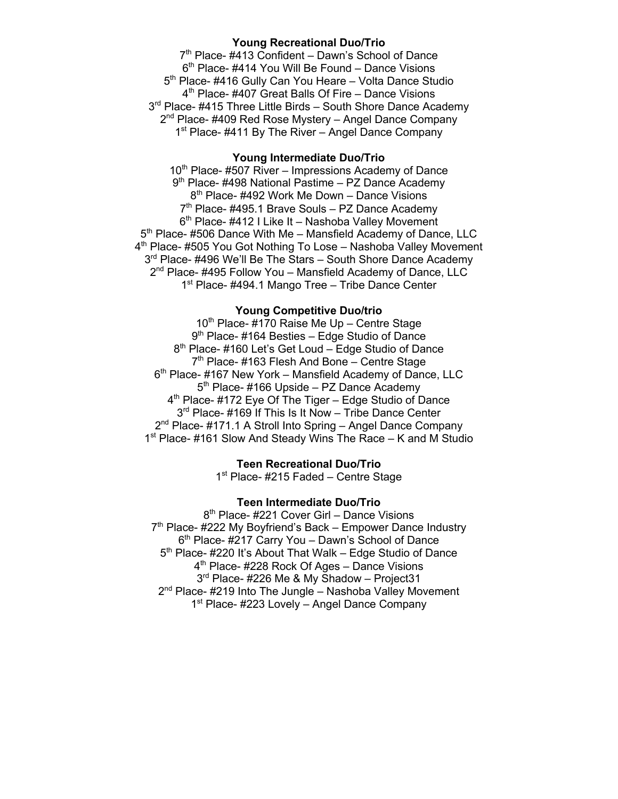### **Young Recreational Duo/Trio**

 $7<sup>th</sup>$  Place- #413 Confident – Dawn's School of Dance  $6<sup>th</sup>$  Place- #414 You Will Be Found – Dance Visions 5<sup>th</sup> Place- #416 Gully Can You Heare – Volta Dance Studio 4<sup>th</sup> Place- #407 Great Balls Of Fire – Dance Visions 3<sup>rd</sup> Place- #415 Three Little Birds – South Shore Dance Academy  $2<sup>nd</sup>$  Place- #409 Red Rose Mystery – Angel Dance Company  $1<sup>st</sup>$  Place- #411 By The River – Angel Dance Company

#### **Young Intermediate Duo/Trio**

 $10<sup>th</sup>$  Place- #507 River – Impressions Academy of Dance 9<sup>th</sup> Place- #498 National Pastime – PZ Dance Academy 8<sup>th</sup> Place- #492 Work Me Down – Dance Visions 7<sup>th</sup> Place- #495.1 Brave Souls - PZ Dance Academy  $6<sup>th</sup>$  Place- #412 I Like It – Nashoba Valley Movement 5<sup>th</sup> Place- #506 Dance With Me – Mansfield Academy of Dance, LLC 4<sup>th</sup> Place- #505 You Got Nothing To Lose – Nashoba Valley Movement 3<sup>rd</sup> Place- #496 We'll Be The Stars – South Shore Dance Academy  $2<sup>nd</sup>$  Place- #495 Follow You – Mansfield Academy of Dance, LLC  $1<sup>st</sup>$  Place- #494.1 Mango Tree – Tribe Dance Center

### **Young Competitive Duo/trio**

10<sup>th</sup> Place- #170 Raise Me Up - Centre Stage  $9<sup>th</sup>$  Place- #164 Besties – Edge Studio of Dance 8<sup>th</sup> Place- #160 Let's Get Loud – Edge Studio of Dance  $7<sup>th</sup>$  Place- #163 Flesh And Bone – Centre Stage 6<sup>th</sup> Place- #167 New York – Mansfield Academy of Dance, LLC 5<sup>th</sup> Place- #166 Upside – PZ Dance Academy  $4<sup>th</sup>$  Place- #172 Eye Of The Tiger – Edge Studio of Dance 3<sup>rd</sup> Place- #169 If This Is It Now – Tribe Dance Center 2<sup>nd</sup> Place- #171.1 A Stroll Into Spring – Angel Dance Company  $1<sup>st</sup>$  Place- #161 Slow And Steady Wins The Race – K and M Studio

## **Teen Recreational Duo/Trio**

1<sup>st</sup> Place- #215 Faded – Centre Stage

### **Teen Intermediate Duo/Trio**

8<sup>th</sup> Place- #221 Cover Girl – Dance Visions 7<sup>th</sup> Place- #222 My Boyfriend's Back – Empower Dance Industry 6<sup>th</sup> Place- #217 Carry You – Dawn's School of Dance 5<sup>th</sup> Place- #220 It's About That Walk – Edge Studio of Dance 4<sup>th</sup> Place- #228 Rock Of Ages – Dance Visions 3<sup>rd</sup> Place- #226 Me & My Shadow – Project 31  $2<sup>nd</sup>$  Place- #219 Into The Jungle – Nashoba Valley Movement 1<sup>st</sup> Place- #223 Lovely – Angel Dance Company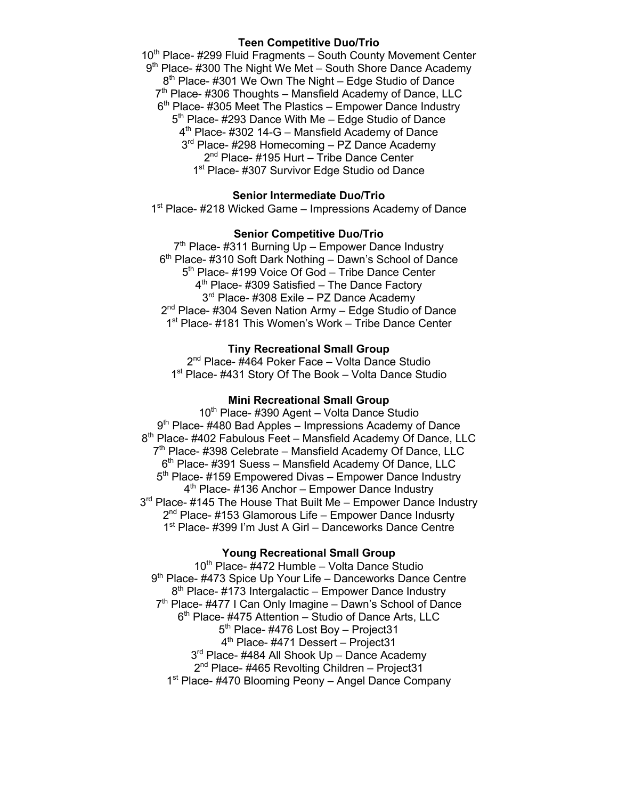#### **Teen Competitive Duo/Trio**

10<sup>th</sup> Place- #299 Fluid Fragments - South County Movement Center 9<sup>th</sup> Place- #300 The Night We Met – South Shore Dance Academy  $8<sup>th</sup>$  Place- #301 We Own The Night – Edge Studio of Dance  $7<sup>th</sup>$  Place- #306 Thoughts – Mansfield Academy of Dance, LLC  $6<sup>th</sup>$  Place- #305 Meet The Plastics – Empower Dance Industry 5<sup>th</sup> Place- #293 Dance With Me – Edge Studio of Dance  $4<sup>th</sup>$  Place- #302 14-G – Mansfield Academy of Dance 3<sup>rd</sup> Place- #298 Homecoming - PZ Dance Academy 2<sup>nd</sup> Place- #195 Hurt – Tribe Dance Center 1<sup>st</sup> Place- #307 Survivor Edge Studio od Dance

### **Senior Intermediate Duo/Trio**

1<sup>st</sup> Place- #218 Wicked Game – Impressions Academy of Dance

#### **Senior Competitive Duo/Trio**

 $7<sup>th</sup>$  Place- #311 Burning Up – Empower Dance Industry 6<sup>th</sup> Place- #310 Soft Dark Nothing – Dawn's School of Dance 5<sup>th</sup> Place- #199 Voice Of God – Tribe Dance Center 4<sup>th</sup> Place- #309 Satisfied – The Dance Factory 3<sup>rd</sup> Place- #308 Exile – PZ Dance Academy 2<sup>nd</sup> Place- #304 Seven Nation Army – Edge Studio of Dance 1<sup>st</sup> Place- #181 This Women's Work – Tribe Dance Center

# **Tiny Recreational Small Group**

2<sup>nd</sup> Place- #464 Poker Face – Volta Dance Studio 1<sup>st</sup> Place- #431 Story Of The Book – Volta Dance Studio

#### **Mini Recreational Small Group**

 $10<sup>th</sup>$  Place- #390 Agent – Volta Dance Studio 9<sup>th</sup> Place- #480 Bad Apples – Impressions Academy of Dance 8<sup>th</sup> Place- #402 Fabulous Feet – Mansfield Academy Of Dance, LLC  $7<sup>th</sup>$  Place- #398 Celebrate – Mansfield Academy Of Dance, LLC 6<sup>th</sup> Place- #391 Suess – Mansfield Academy Of Dance, LLC 5<sup>th</sup> Place- #159 Empowered Divas – Empower Dance Industry 4<sup>th</sup> Place- #136 Anchor – Empower Dance Industry 3<sup>rd</sup> Place- #145 The House That Built Me – Empower Dance Industry  $2^{nd}$  Place- #153 Glamorous Life – Empower Dance Indusrty 1<sup>st</sup> Place- #399 I'm Just A Girl – Danceworks Dance Centre

#### **Young Recreational Small Group**

 $10^{th}$  Place- #472 Humble – Volta Dance Studio 9<sup>th</sup> Place- #473 Spice Up Your Life – Danceworks Dance Centre 8<sup>th</sup> Place- #173 Intergalactic – Empower Dance Industry 7<sup>th</sup> Place- #477 I Can Only Imagine – Dawn's School of Dance 6<sup>th</sup> Place- #475 Attention – Studio of Dance Arts, LLC 5<sup>th</sup> Place- #476 Lost Boy - Project 31  $4<sup>th</sup>$  Place- #471 Dessert – Project31 3<sup>rd</sup> Place- #484 All Shook Up – Dance Academy 2<sup>nd</sup> Place- #465 Revolting Children – Project31 1<sup>st</sup> Place- #470 Blooming Peony – Angel Dance Company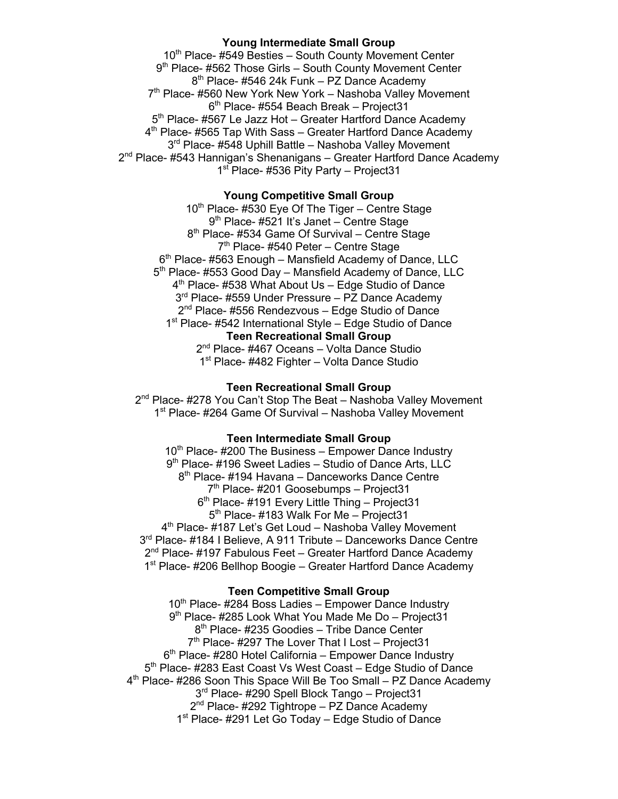### **Young Intermediate Small Group**

10<sup>th</sup> Place- #549 Besties – South County Movement Center 9<sup>th</sup> Place- #562 Those Girls – South County Movement Center  $8<sup>th</sup>$  Place- #546 24k Funk – PZ Dance Academy  $7<sup>th</sup>$  Place- #560 New York New York – Nashoba Valley Movement 6<sup>th</sup> Place- #554 Beach Break - Project31 5<sup>th</sup> Place- #567 Le Jazz Hot – Greater Hartford Dance Academy 4<sup>th</sup> Place- #565 Tap With Sass – Greater Hartford Dance Academy 3<sup>rd</sup> Place- #548 Uphill Battle – Nashoba Valley Movement 2<sup>nd</sup> Place- #543 Hannigan's Shenanigans – Greater Hartford Dance Academy 1<sup>st</sup> Place- #536 Pity Party – Project31

# **Young Competitive Small Group**

10<sup>th</sup> Place- #530 Eye Of The Tiger – Centre Stage 9<sup>th</sup> Place- #521 It's Janet – Centre Stage 8<sup>th</sup> Place- #534 Game Of Survival – Centre Stage 7<sup>th</sup> Place- #540 Peter – Centre Stage  $6<sup>th</sup>$  Place- #563 Enough – Mansfield Academy of Dance, LLC 5<sup>th</sup> Place- #553 Good Day – Mansfield Academy of Dance, LLC  $4<sup>th</sup>$  Place- #538 What About Us – Edge Studio of Dance 3<sup>rd</sup> Place- #559 Under Pressure – PZ Dance Academy 2<sup>nd</sup> Place- #556 Rendezvous – Edge Studio of Dance 1<sup>st</sup> Place- #542 International Style – Edge Studio of Dance **Teen Recreational Small Group** 2<sup>nd</sup> Place- #467 Oceans - Volta Dance Studio 1<sup>st</sup> Place- #482 Fighter – Volta Dance Studio

#### **Teen Recreational Small Group**

2<sup>nd</sup> Place- #278 You Can't Stop The Beat – Nashoba Valley Movement 1<sup>st</sup> Place- #264 Game Of Survival – Nashoba Valley Movement

## **Teen Intermediate Small Group**

 $10<sup>th</sup>$  Place- #200 The Business – Empower Dance Industry 9<sup>th</sup> Place- #196 Sweet Ladies - Studio of Dance Arts, LLC 8<sup>th</sup> Place- #194 Havana – Danceworks Dance Centre 7th Place- #201 Goosebumps – Project31  $6<sup>th</sup>$  Place- #191 Every Little Thing – Project 31 5<sup>th</sup> Place- #183 Walk For Me – Project 31 4<sup>th</sup> Place- #187 Let's Get Loud - Nashoba Valley Movement 3<sup>rd</sup> Place- #184 I Believe, A 911 Tribute – Danceworks Dance Centre 2<sup>nd</sup> Place- #197 Fabulous Feet – Greater Hartford Dance Academy 1<sup>st</sup> Place- #206 Bellhop Boogie – Greater Hartford Dance Academy

### **Teen Competitive Small Group**

 $10<sup>th</sup>$  Place- #284 Boss Ladies – Empower Dance Industry 9<sup>th</sup> Place- #285 Look What You Made Me Do - Project31 8<sup>th</sup> Place- #235 Goodies - Tribe Dance Center 7<sup>th</sup> Place- #297 The Lover That I Lost - Project 31 6<sup>th</sup> Place- #280 Hotel California – Empower Dance Industry 5<sup>th</sup> Place- #283 East Coast Vs West Coast – Edge Studio of Dance 4<sup>th</sup> Place- #286 Soon This Space Will Be Too Small – PZ Dance Academy 3<sup>rd</sup> Place- #290 Spell Block Tango - Project 31  $2<sup>nd</sup>$  Place- #292 Tightrope – PZ Dance Academy 1<sup>st</sup> Place- #291 Let Go Today – Edge Studio of Dance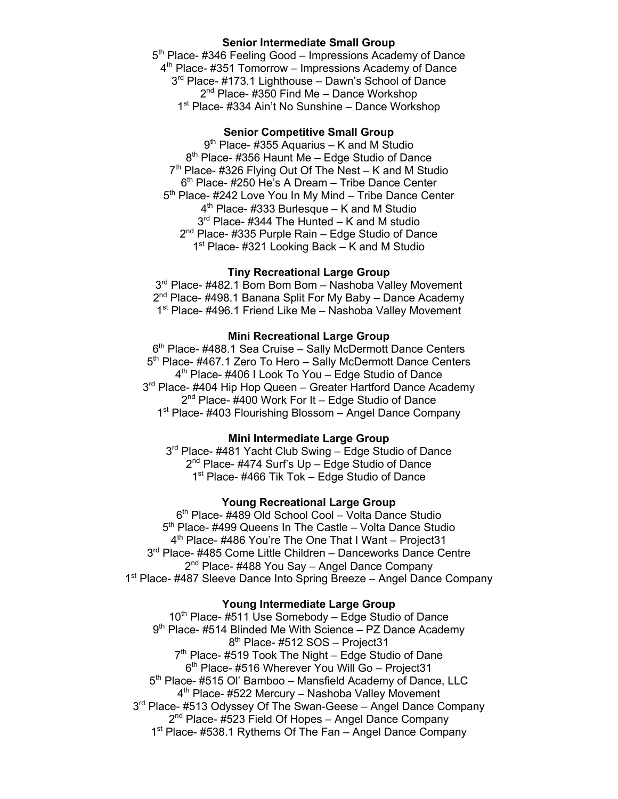#### **Senior Intermediate Small Group**

5<sup>th</sup> Place- #346 Feeling Good – Impressions Academy of Dance 4<sup>th</sup> Place- #351 Tomorrow – Impressions Academy of Dance 3<sup>rd</sup> Place- #173.1 Lighthouse – Dawn's School of Dance  $2^{nd}$  Place- #350 Find Me – Dance Workshop 1<sup>st</sup> Place- #334 Ain't No Sunshine – Dance Workshop

# **Senior Competitive Small Group**

 $9<sup>th</sup>$  Place- #355 Aquarius – K and M Studio 8<sup>th</sup> Place- #356 Haunt Me – Edge Studio of Dance  $7<sup>th</sup>$  Place- #326 Flying Out Of The Nest – K and M Studio  $6<sup>th</sup>$  Place- #250 He's A Dream – Tribe Dance Center 5<sup>th</sup> Place- #242 Love You In My Mind – Tribe Dance Center 4th Place- #333 Burlesque – K and M Studio 3<sup>rd</sup> Place- #344 The Hunted – K and M studio 2<sup>nd</sup> Place- #335 Purple Rain – Edge Studio of Dance 1<sup>st</sup> Place- #321 Looking Back – K and M Studio

# **Tiny Recreational Large Group**

3<sup>rd</sup> Place- #482.1 Bom Bom Bom – Nashoba Valley Movement 2<sup>nd</sup> Place- #498.1 Banana Split For My Baby – Dance Academy 1<sup>st</sup> Place- #496.1 Friend Like Me – Nashoba Valley Movement

## **Mini Recreational Large Group**

6<sup>th</sup> Place- #488.1 Sea Cruise – Sally McDermott Dance Centers 5<sup>th</sup> Place- #467.1 Zero To Hero – Sally McDermott Dance Centers 4<sup>th</sup> Place- #406 I Look To You – Edge Studio of Dance 3<sup>rd</sup> Place- #404 Hip Hop Queen – Greater Hartford Dance Academy  $2^{nd}$  Place- #400 Work For It – Edge Studio of Dance 1<sup>st</sup> Place- #403 Flourishing Blossom – Angel Dance Company

## **Mini Intermediate Large Group**

3<sup>rd</sup> Place- #481 Yacht Club Swing – Edge Studio of Dance  $2<sup>nd</sup>$  Place- #474 Surf's Up – Edge Studio of Dance 1<sup>st</sup> Place- #466 Tik Tok – Edge Studio of Dance

## **Young Recreational Large Group**

6<sup>th</sup> Place- #489 Old School Cool – Volta Dance Studio 5<sup>th</sup> Place- #499 Queens In The Castle – Volta Dance Studio 4<sup>th</sup> Place- #486 You're The One That I Want – Project 31 3<sup>rd</sup> Place- #485 Come Little Children – Danceworks Dance Centre 2<sup>nd</sup> Place- #488 You Say – Angel Dance Company 1<sup>st</sup> Place- #487 Sleeve Dance Into Spring Breeze – Angel Dance Company

#### **Young Intermediate Large Group**

 $10<sup>th</sup>$  Place- #511 Use Somebody – Edge Studio of Dance 9<sup>th</sup> Place- #514 Blinded Me With Science – PZ Dance Academy  $8<sup>th</sup>$  Place- #512 SOS - Project 31  $7<sup>th</sup>$  Place- #519 Took The Night – Edge Studio of Dane 6th Place- #516 Wherever You Will Go – Project31 5<sup>th</sup> Place- #515 Ol' Bamboo – Mansfield Academy of Dance, LLC  $4<sup>th</sup>$  Place- #522 Mercury – Nashoba Valley Movement 3<sup>rd</sup> Place- #513 Odyssey Of The Swan-Geese - Angel Dance Company 2<sup>nd</sup> Place- #523 Field Of Hopes - Angel Dance Company 1<sup>st</sup> Place- #538.1 Rythems Of The Fan – Angel Dance Company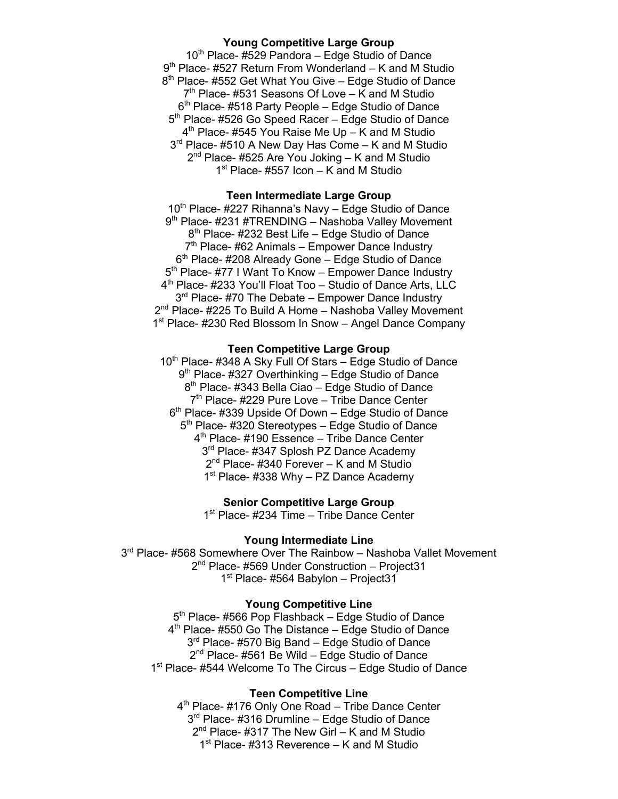### **Young Competitive Large Group**

10<sup>th</sup> Place- #529 Pandora – Edge Studio of Dance 9<sup>th</sup> Place- #527 Return From Wonderland – K and M Studio 8<sup>th</sup> Place- #552 Get What You Give – Edge Studio of Dance  $7<sup>th</sup>$  Place- #531 Seasons Of Love – K and M Studio  $6<sup>th</sup>$  Place- #518 Party People – Edge Studio of Dance 5<sup>th</sup> Place- #526 Go Speed Racer – Edge Studio of Dance  $4<sup>th</sup>$  Place- #545 You Raise Me Up – K and M Studio 3<sup>rd</sup> Place- #510 A New Day Has Come – K and M Studio  $2<sup>nd</sup>$  Place- #525 Are You Joking – K and M Studio 1<sup>st</sup> Place- #557 Icon – K and M Studio

# **Teen Intermediate Large Group**

 $10<sup>th</sup>$  Place- #227 Rihanna's Navy – Edge Studio of Dance 9<sup>th</sup> Place- #231 #TRENDING – Nashoba Valley Movement 8<sup>th</sup> Place- #232 Best Life – Edge Studio of Dance  $7<sup>th</sup>$  Place- #62 Animals – Empower Dance Industry  $6<sup>th</sup>$  Place- #208 Already Gone – Edge Studio of Dance 5<sup>th</sup> Place- #77 I Want To Know – Empower Dance Industry 4<sup>th</sup> Place- #233 You'll Float Too – Studio of Dance Arts, LLC 3<sup>rd</sup> Place- #70 The Debate – Empower Dance Industry  $2<sup>nd</sup>$  Place- #225 To Build A Home – Nashoba Valley Movement 1<sup>st</sup> Place- #230 Red Blossom In Snow – Angel Dance Company

#### **Teen Competitive Large Group**

10<sup>th</sup> Place- #348 A Sky Full Of Stars – Edge Studio of Dance  $9<sup>th</sup>$  Place- #327 Overthinking – Edge Studio of Dance 8<sup>th</sup> Place- #343 Bella Ciao – Edge Studio of Dance  $7<sup>th</sup>$  Place- #229 Pure Love – Tribe Dance Center 6<sup>th</sup> Place- #339 Upside Of Down - Edge Studio of Dance 5<sup>th</sup> Place- #320 Stereotypes - Edge Studio of Dance 4<sup>th</sup> Place- #190 Essence - Tribe Dance Center 3<sup>rd</sup> Place- #347 Splosh PZ Dance Academy  $2<sup>nd</sup>$  Place- #340 Forever – K and M Studio  $1<sup>st</sup>$  Place- #338 Why – PZ Dance Academy

### **Senior Competitive Large Group**

1<sup>st</sup> Place- #234 Time – Tribe Dance Center

#### **Young Intermediate Line**

 $3<sup>rd</sup>$  Place- #568 Somewhere Over The Rainbow – Nashoba Vallet Movement 2<sup>nd</sup> Place- #569 Under Construction - Project31 1<sup>st</sup> Place- #564 Babylon – Project31

#### **Young Competitive Line**

5<sup>th</sup> Place- #566 Pop Flashback – Edge Studio of Dance 4<sup>th</sup> Place- #550 Go The Distance – Edge Studio of Dance 3<sup>rd</sup> Place- #570 Big Band – Edge Studio of Dance 2<sup>nd</sup> Place- #561 Be Wild – Edge Studio of Dance 1<sup>st</sup> Place- #544 Welcome To The Circus – Edge Studio of Dance

# **Teen Competitive Line**

4<sup>th</sup> Place- #176 Only One Road - Tribe Dance Center 3rd Place- #316 Drumline - Edge Studio of Dance  $2<sup>nd</sup>$  Place- #317 The New Girl – K and M Studio 1<sup>st</sup> Place- #313 Reverence – K and M Studio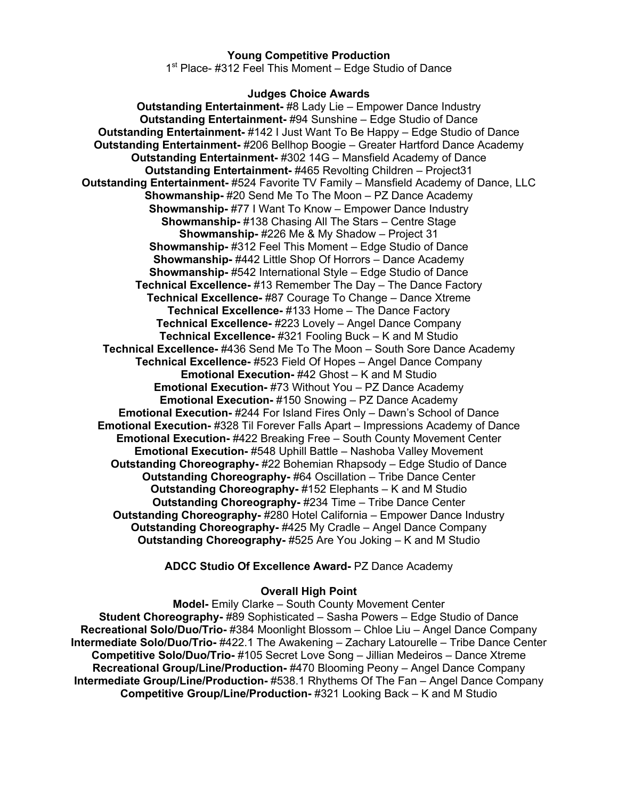### **Young Competitive Production**

1<sup>st</sup> Place- #312 Feel This Moment – Edge Studio of Dance

### **Judges Choice Awards**

**Outstanding Entertainment-** #8 Lady Lie – Empower Dance Industry **Outstanding Entertainment-** #94 Sunshine – Edge Studio of Dance **Outstanding Entertainment-** #142 I Just Want To Be Happy – Edge Studio of Dance **Outstanding Entertainment-** #206 Bellhop Boogie – Greater Hartford Dance Academy **Outstanding Entertainment-** #302 14G – Mansfield Academy of Dance **Outstanding Entertainment-** #465 Revolting Children – Project31 **Outstanding Entertainment-** #524 Favorite TV Family – Mansfield Academy of Dance, LLC **Showmanship-** #20 Send Me To The Moon – PZ Dance Academy **Showmanship-** #77 I Want To Know – Empower Dance Industry **Showmanship-** #138 Chasing All The Stars – Centre Stage **Showmanship-** #226 Me & My Shadow – Project 31 **Showmanship-** #312 Feel This Moment – Edge Studio of Dance **Showmanship-** #442 Little Shop Of Horrors – Dance Academy **Showmanship-** #542 International Style – Edge Studio of Dance **Technical Excellence-** #13 Remember The Day – The Dance Factory **Technical Excellence-** #87 Courage To Change – Dance Xtreme **Technical Excellence-** #133 Home – The Dance Factory **Technical Excellence-** #223 Lovely – Angel Dance Company **Technical Excellence-** #321 Fooling Buck – K and M Studio **Technical Excellence-** #436 Send Me To The Moon – South Sore Dance Academy **Technical Excellence-** #523 Field Of Hopes – Angel Dance Company **Emotional Execution-** #42 Ghost – K and M Studio **Emotional Execution-** #73 Without You – PZ Dance Academy **Emotional Execution-** #150 Snowing – PZ Dance Academy **Emotional Execution-** #244 For Island Fires Only – Dawn's School of Dance **Emotional Execution-** #328 Til Forever Falls Apart – Impressions Academy of Dance **Emotional Execution-** #422 Breaking Free – South County Movement Center **Emotional Execution-** #548 Uphill Battle – Nashoba Valley Movement **Outstanding Choreography-** #22 Bohemian Rhapsody – Edge Studio of Dance **Outstanding Choreography-** #64 Oscillation – Tribe Dance Center **Outstanding Choreography-** #152 Elephants – K and M Studio **Outstanding Choreography-** #234 Time – Tribe Dance Center **Outstanding Choreography-** #280 Hotel California – Empower Dance Industry **Outstanding Choreography-** #425 My Cradle – Angel Dance Company **Outstanding Choreography-** #525 Are You Joking – K and M Studio

**ADCC Studio Of Excellence Award-** PZ Dance Academy

#### **Overall High Point**

**Model-** Emily Clarke – South County Movement Center **Student Choreography-** #89 Sophisticated – Sasha Powers – Edge Studio of Dance **Recreational Solo/Duo/Trio-** #384 Moonlight Blossom – Chloe Liu – Angel Dance Company **Intermediate Solo/Duo/Trio-** #422.1 The Awakening – Zachary Latourelle – Tribe Dance Center **Competitive Solo/Duo/Trio-** #105 Secret Love Song – Jillian Medeiros – Dance Xtreme **Recreational Group/Line/Production-** #470 Blooming Peony – Angel Dance Company **Intermediate Group/Line/Production-** #538.1 Rhythems Of The Fan – Angel Dance Company **Competitive Group/Line/Production-** #321 Looking Back – K and M Studio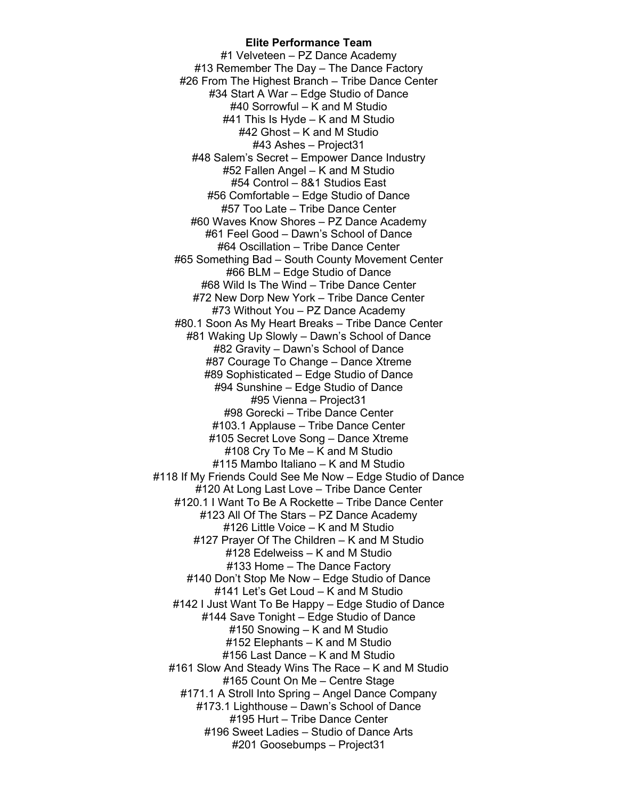#### **Elite Performance Team**

#1 Velveteen – PZ Dance Academy #13 Remember The Day – The Dance Factory #26 From The Highest Branch – Tribe Dance Center #34 Start A War – Edge Studio of Dance #40 Sorrowful –  $\overline{K}$  and M Studio #41 This Is Hyde – K and M Studio #42 Ghost – K and M Studio #43 Ashes – Project31 #48 Salem's Secret – Empower Dance Industry #52 Fallen Angel – K and M Studio #54 Control – 8&1 Studios East #56 Comfortable – Edge Studio of Dance #57 Too Late – Tribe Dance Center #60 Waves Know Shores – PZ Dance Academy #61 Feel Good – Dawn's School of Dance #64 Oscillation – Tribe Dance Center #65 Something Bad – South County Movement Center #66 BLM – Edge Studio of Dance #68 Wild Is The Wind – Tribe Dance Center #72 New Dorp New York – Tribe Dance Center #73 Without You – PZ Dance Academy #80.1 Soon As My Heart Breaks – Tribe Dance Center #81 Waking Up Slowly – Dawn's School of Dance #82 Gravity – Dawn's School of Dance #87 Courage To Change – Dance Xtreme #89 Sophisticated – Edge Studio of Dance #94 Sunshine – Edge Studio of Dance #95 Vienna – Project31 #98 Gorecki – Tribe Dance Center #103.1 Applause – Tribe Dance Center #105 Secret Love Song – Dance Xtreme #108 Cry To Me – K and M Studio #115 Mambo Italiano – K and M Studio #118 If My Friends Could See Me Now – Edge Studio of Dance #120 At Long Last Love – Tribe Dance Center #120.1 I Want To Be A Rockette – Tribe Dance Center #123 All Of The Stars – PZ Dance Academy #126 Little Voice – K and M Studio #127 Prayer Of The Children – K and M Studio #128 Edelweiss – K and M Studio #133 Home – The Dance Factory #140 Don't Stop Me Now – Edge Studio of Dance #141 Let's Get Loud – K and M Studio #142 I Just Want To Be Happy – Edge Studio of Dance #144 Save Tonight – Edge Studio of Dance #150 Snowing – K and M Studio #152 Elephants – K and M Studio #156 Last Dance – K and M Studio #161 Slow And Steady Wins The Race – K and M Studio #165 Count On Me – Centre Stage #171.1 A Stroll Into Spring – Angel Dance Company #173.1 Lighthouse – Dawn's School of Dance #195 Hurt – Tribe Dance Center #196 Sweet Ladies – Studio of Dance Arts #201 Goosebumps – Project31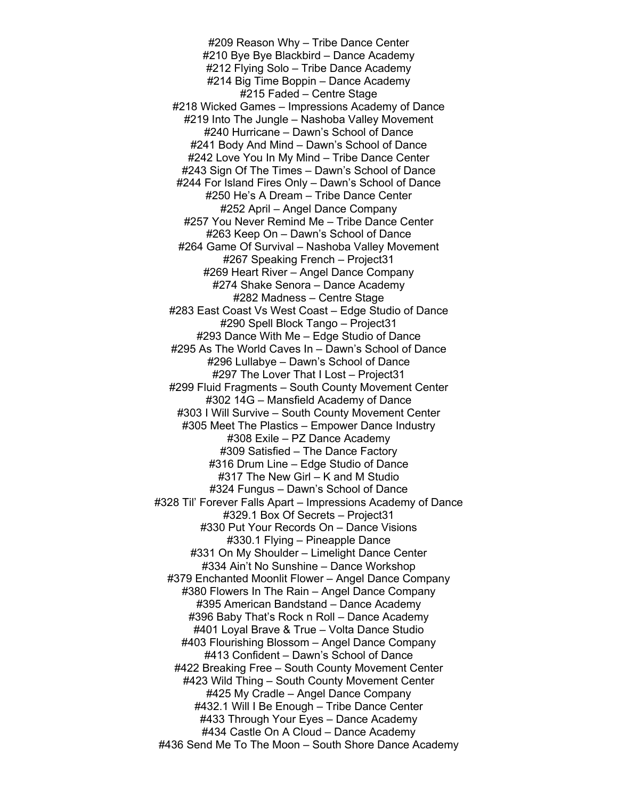#209 Reason Why – Tribe Dance Center #210 Bye Bye Blackbird – Dance Academy #212 Flying Solo – Tribe Dance Academy #214 Big Time Boppin – Dance Academy #215 Faded – Centre Stage #218 Wicked Games – Impressions Academy of Dance #219 Into The Jungle – Nashoba Valley Movement #240 Hurricane – Dawn's School of Dance #241 Body And Mind – Dawn's School of Dance #242 Love You In My Mind – Tribe Dance Center #243 Sign Of The Times – Dawn's School of Dance #244 For Island Fires Only – Dawn's School of Dance #250 He's A Dream – Tribe Dance Center #252 April – Angel Dance Company #257 You Never Remind Me – Tribe Dance Center #263 Keep On – Dawn's School of Dance #264 Game Of Survival – Nashoba Valley Movement #267 Speaking French – Project31 #269 Heart River – Angel Dance Company #274 Shake Senora – Dance Academy #282 Madness – Centre Stage #283 East Coast Vs West Coast – Edge Studio of Dance #290 Spell Block Tango – Project31 #293 Dance With Me – Edge Studio of Dance #295 As The World Caves In – Dawn's School of Dance #296 Lullabye – Dawn's School of Dance #297 The Lover That I Lost – Project31 #299 Fluid Fragments – South County Movement Center #302 14G – Mansfield Academy of Dance #303 I Will Survive – South County Movement Center #305 Meet The Plastics – Empower Dance Industry #308 Exile – PZ Dance Academy #309 Satisfied – The Dance Factory #316 Drum Line – Edge Studio of Dance #317 The New Girl – K and M Studio #324 Fungus – Dawn's School of Dance #328 Til' Forever Falls Apart – Impressions Academy of Dance #329.1 Box Of Secrets – Project31 #330 Put Your Records On – Dance Visions #330.1 Flying – Pineapple Dance #331 On My Shoulder – Limelight Dance Center #334 Ain't No Sunshine – Dance Workshop #379 Enchanted Moonlit Flower – Angel Dance Company #380 Flowers In The Rain – Angel Dance Company #395 American Bandstand – Dance Academy #396 Baby That's Rock n Roll – Dance Academy #401 Loyal Brave & True – Volta Dance Studio #403 Flourishing Blossom – Angel Dance Company #413 Confident – Dawn's School of Dance #422 Breaking Free – South County Movement Center #423 Wild Thing – South County Movement Center #425 My Cradle – Angel Dance Company #432.1 Will I Be Enough – Tribe Dance Center #433 Through Your Eyes – Dance Academy #434 Castle On A Cloud – Dance Academy #436 Send Me To The Moon – South Shore Dance Academy